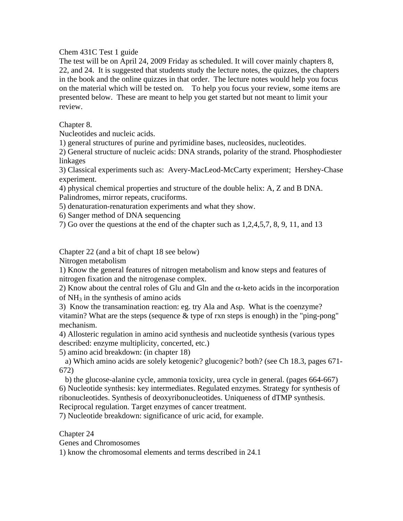Chem 431C Test 1 guide

The test will be on April 24, 2009 Friday as scheduled. It will cover mainly chapters 8, 22, and 24. It is suggested that students study the lecture notes, the quizzes, the chapters in the book and the online quizzes in that order. The lecture notes would help you focus on the material which will be tested on. To help you focus your review, some items are presented below. These are meant to help you get started but not meant to limit your review.

Chapter 8.

Nucleotides and nucleic acids.

1) general structures of purine and pyrimidine bases, nucleosides, nucleotides.

2) General structure of nucleic acids: DNA strands, polarity of the strand. Phosphodiester linkages

3) Classical experiments such as: Avery-MacLeod-McCarty experiment; Hershey-Chase experiment.

4) physical chemical properties and structure of the double helix: A, Z and B DNA. Palindromes, mirror repeats, cruciforms.

5) denaturation-renaturation experiments and what they show.

6) Sanger method of DNA sequencing

7) Go over the questions at the end of the chapter such as 1,2,4,5,7, 8, 9, 11, and 13

Chapter 22 (and a bit of chapt 18 see below)

Nitrogen metabolism

1) Know the general features of nitrogen metabolism and know steps and features of nitrogen fixation and the nitrogenase complex.

2) Know about the central roles of Glu and Gln and the  $\alpha$ -keto acids in the incorporation of  $NH<sub>3</sub>$  in the synthesis of amino acids

3) Know the transamination reaction: eg. try Ala and Asp. What is the coenzyme? vitamin? What are the steps (sequence  $&$  type of rxn steps is enough) in the "ping-pong" mechanism.

4) Allosteric regulation in amino acid synthesis and nucleotide synthesis (various types described: enzyme multiplicity, concerted, etc.)

5) amino acid breakdown: (in chapter 18)

 a) Which amino acids are solely ketogenic? glucogenic? both? (see Ch 18.3, pages 671- 672)

 b) the glucose-alanine cycle, ammonia toxicity, urea cycle in general. (pages 664-667) 6) Nucleotide synthesis: key intermediates. Regulated enzymes. Strategy for synthesis of ribonucleotides. Synthesis of deoxyribonucleotides. Uniqueness of dTMP synthesis. Reciprocal regulation. Target enzymes of cancer treatment.

7) Nucleotide breakdown: significance of uric acid, for example.

Chapter 24

Genes and Chromosomes

1) know the chromosomal elements and terms described in 24.1